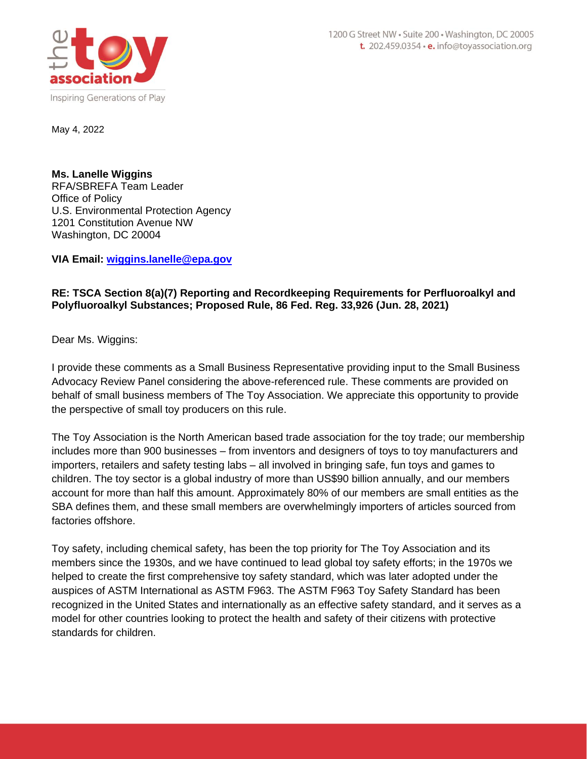

**Ms. Lanelle Wiggins** RFA/SBREFA Team Leader Office of Policy U.S. Environmental Protection Agency 1201 Constitution Avenue NW Washington, DC 20004

**VIA Email: [wiggins.lanelle@epa.gov](mailto:wiggins.lanelle@epa.gov)**

## **RE: TSCA Section 8(a)(7) Reporting and Recordkeeping Requirements for Perfluoroalkyl and Polyfluoroalkyl Substances; Proposed Rule, 86 Fed. Reg. 33,926 (Jun. 28, 2021)**

Dear Ms. Wiggins:

I provide these comments as a Small Business Representative providing input to the Small Business Advocacy Review Panel considering the above-referenced rule. These comments are provided on behalf of small business members of The Toy Association. We appreciate this opportunity to provide the perspective of small toy producers on this rule.

The Toy Association is the North American based trade association for the toy trade; our membership includes more than 900 businesses – from inventors and designers of toys to toy manufacturers and importers, retailers and safety testing labs – all involved in bringing safe, fun toys and games to children. The toy sector is a global industry of more than US\$90 billion annually, and our members account for more than half this amount. Approximately 80% of our members are small entities as the SBA defines them, and these small members are overwhelmingly importers of articles sourced from factories offshore.

Toy safety, including chemical safety, has been the top priority for The Toy Association and its members since the 1930s, and we have continued to lead global toy safety efforts; in the 1970s we helped to create the first comprehensive toy safety standard, which was later adopted under the auspices of ASTM International as ASTM F963. The ASTM F963 Toy Safety Standard has been recognized in the United States and internationally as an effective safety standard, and it serves as a model for other countries looking to protect the health and safety of their citizens with protective standards for children.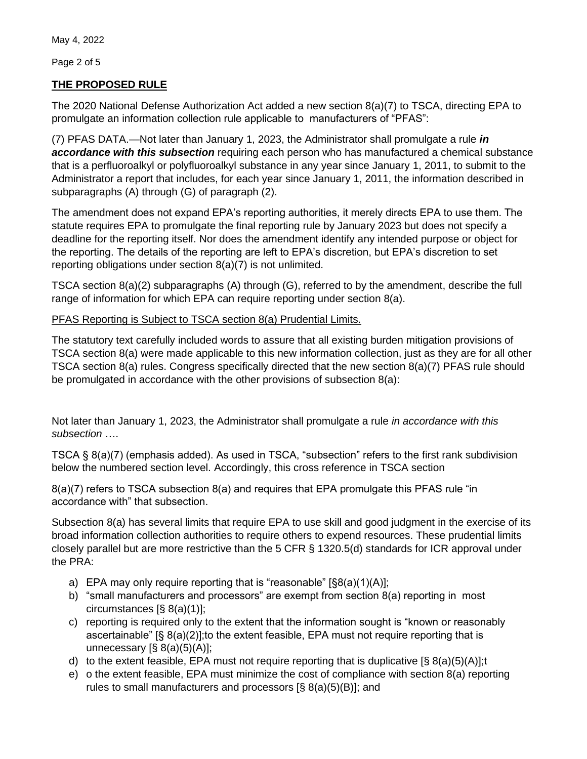Page 2 of 5

## **THE PROPOSED RULE**

The 2020 National Defense Authorization Act added a new section 8(a)(7) to TSCA, directing EPA to promulgate an information collection rule applicable to manufacturers of "PFAS":

(7) PFAS DATA.—Not later than January 1, 2023, the Administrator shall promulgate a rule *in accordance with this subsection* requiring each person who has manufactured a chemical substance that is a perfluoroalkyl or polyfluoroalkyl substance in any year since January 1, 2011, to submit to the Administrator a report that includes, for each year since January 1, 2011, the information described in subparagraphs (A) through (G) of paragraph (2).

The amendment does not expand EPA's reporting authorities, it merely directs EPA to use them. The statute requires EPA to promulgate the final reporting rule by January 2023 but does not specify a deadline for the reporting itself. Nor does the amendment identify any intended purpose or object for the reporting. The details of the reporting are left to EPA's discretion, but EPA's discretion to set reporting obligations under section 8(a)(7) is not unlimited.

TSCA section 8(a)(2) subparagraphs (A) through (G), referred to by the amendment, describe the full range of information for which EPA can require reporting under section 8(a).

## PFAS Reporting is Subject to TSCA section 8(a) Prudential Limits.

The statutory text carefully included words to assure that all existing burden mitigation provisions of TSCA section 8(a) were made applicable to this new information collection, just as they are for all other TSCA section 8(a) rules. Congress specifically directed that the new section 8(a)(7) PFAS rule should be promulgated in accordance with the other provisions of subsection 8(a):

Not later than January 1, 2023, the Administrator shall promulgate a rule *in accordance with this subsection* ….

TSCA § 8(a)(7) (emphasis added). As used in TSCA, "subsection" refers to the first rank subdivision below the numbered section level. Accordingly, this cross reference in TSCA section

8(a)(7) refers to TSCA subsection 8(a) and requires that EPA promulgate this PFAS rule "in accordance with" that subsection.

Subsection 8(a) has several limits that require EPA to use skill and good judgment in the exercise of its broad information collection authorities to require others to expend resources. These prudential limits closely parallel but are more restrictive than the 5 CFR § 1320.5(d) standards for ICR approval under the PRA:

- a) EPA may only require reporting that is "reasonable"  $\lbrack \S 8(a)(1)(A)\rbrack$ ;
- b) "small manufacturers and processors" are exempt from section 8(a) reporting in most circumstances [§ 8(a)(1)];
- c) reporting is required only to the extent that the information sought is "known or reasonably ascertainable" [§ 8(a)(2)];to the extent feasible, EPA must not require reporting that is unnecessary  $[\S 8(a)(5)(A)];$
- d) to the extent feasible, EPA must not require reporting that is duplicative  $[\S 8(2)(5)(A)]$ ; t
- e) o the extent feasible, EPA must minimize the cost of compliance with section 8(a) reporting rules to small manufacturers and processors [§ 8(a)(5)(B)]; and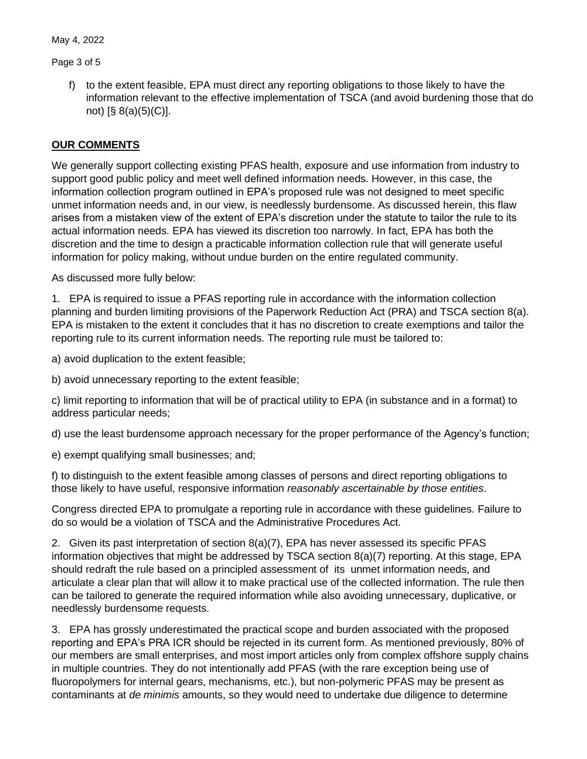Page 3 of 5

f) to the extent feasible, EPA must direct any reporting obligations to those likely to have the information relevant to the effective implementation of TSCA (and avoid burdening those that do not)  $[\S$  8(a)(5)(C)].

## **OUR COMMENTS**

We generally support collecting existing PFAS health, exposure and use information from industry to support good public policy and meet well defined information needs. However, in this case, the information collection program outlined in EPA's proposed rule was not designed to meet specific unmet information needs and, in our view, is needlessly burdensome. As discussed herein, this flaw arises from a mistaken view of the extent of EPA's discretion under the statute to tailor the rule to its actual information needs. EPA has viewed its discretion too narrowly. In fact, EPA has both the discretion and the time to design a practicable information collection rule that will generate useful information for policy making, without undue burden on the entire regulated community.

As discussed more fully below:

1. EPA is required to issue a PFAS reporting rule in accordance with the information collection planning and burden limiting provisions of the Paperwork Reduction Act (PRA) and TSCA section 8(a). EPA is mistaken to the extent it concludes that it has no discretion to create exemptions and tailor the reporting rule to its current information needs. The reporting rule must be tailored to:

a) avoid duplication to the extent feasible;

b) avoid unnecessary reporting to the extent feasible;

c) limit reporting to information that will be of practical utility to EPA (in substance and in a format) to address particular needs;

d) use the least burdensome approach necessary for the proper performance of the Agency's function;

e) exempt qualifying small businesses; and;

f) to distinguish to the extent feasible among classes of persons and direct reporting obligations to those likely to have useful, responsive information *reasonably ascertainable by those entities*.

Congress directed EPA to promulgate a reporting rule in accordance with these guidelines. Failure to do so would be a violation of TSCA and the Administrative Procedures Act.

2. Given its past interpretation of section 8(a)(7), EPA has never assessed its specific PFAS information objectives that might be addressed by TSCA section 8(a)(7) reporting. At this stage, EPA should redraft the rule based on a principled assessment of its unmet information needs, and articulate a clear plan that will allow it to make practical use of the collected information. The rule then can be tailored to generate the required information while also avoiding unnecessary, duplicative, or needlessly burdensome requests.

3. EPA has grossly underestimated the practical scope and burden associated with the proposed reporting and EPA's PRA ICR should be rejected in its current form. As mentioned previously, 80% of our members are small enterprises, and most import articles only from complex offshore supply chains in multiple countries. They do not intentionally add PFAS (with the rare exception being use of fluoropolymers for internal gears, mechanisms, etc.), but non-polymeric PFAS may be present as contaminants at *de minimis* amounts, so they would need to undertake due diligence to determine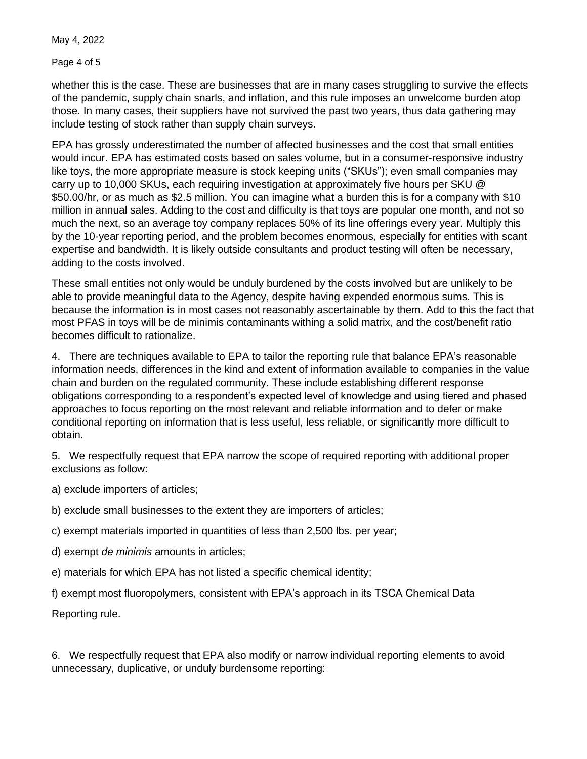Page 4 of 5

whether this is the case. These are businesses that are in many cases struggling to survive the effects of the pandemic, supply chain snarls, and inflation, and this rule imposes an unwelcome burden atop those. In many cases, their suppliers have not survived the past two years, thus data gathering may include testing of stock rather than supply chain surveys.

EPA has grossly underestimated the number of affected businesses and the cost that small entities would incur. EPA has estimated costs based on sales volume, but in a consumer-responsive industry like toys, the more appropriate measure is stock keeping units ("SKUs"); even small companies may carry up to 10,000 SKUs, each requiring investigation at approximately five hours per SKU @ \$50.00/hr, or as much as \$2.5 million. You can imagine what a burden this is for a company with \$10 million in annual sales. Adding to the cost and difficulty is that toys are popular one month, and not so much the next, so an average toy company replaces 50% of its line offerings every year. Multiply this by the 10-year reporting period, and the problem becomes enormous, especially for entities with scant expertise and bandwidth. It is likely outside consultants and product testing will often be necessary, adding to the costs involved.

These small entities not only would be unduly burdened by the costs involved but are unlikely to be able to provide meaningful data to the Agency, despite having expended enormous sums. This is because the information is in most cases not reasonably ascertainable by them. Add to this the fact that most PFAS in toys will be de minimis contaminants withing a solid matrix, and the cost/benefit ratio becomes difficult to rationalize.

4. There are techniques available to EPA to tailor the reporting rule that balance EPA's reasonable information needs, differences in the kind and extent of information available to companies in the value chain and burden on the regulated community. These include establishing different response obligations corresponding to a respondent's expected level of knowledge and using tiered and phased approaches to focus reporting on the most relevant and reliable information and to defer or make conditional reporting on information that is less useful, less reliable, or significantly more difficult to obtain.

5. We respectfully request that EPA narrow the scope of required reporting with additional proper exclusions as follow:

a) exclude importers of articles;

- b) exclude small businesses to the extent they are importers of articles;
- c) exempt materials imported in quantities of less than 2,500 lbs. per year;
- d) exempt *de minimis* amounts in articles;
- e) materials for which EPA has not listed a specific chemical identity;

f) exempt most fluoropolymers, consistent with EPA's approach in its TSCA Chemical Data

Reporting rule.

6. We respectfully request that EPA also modify or narrow individual reporting elements to avoid unnecessary, duplicative, or unduly burdensome reporting: